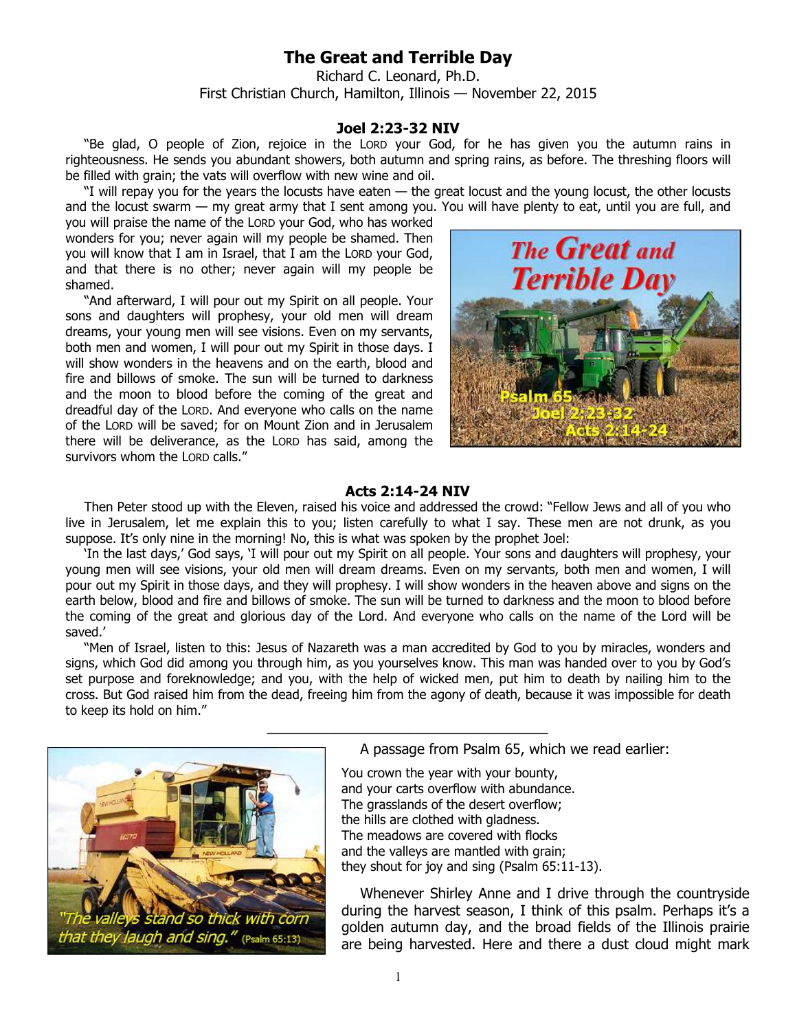## **The Great and Terrible Day**

Richard C. Leonard, Ph.D. First Christian Church, Hamilton, Illinois — November 22, 2015

## **Joel 2:23-32 NIV**

"Be glad, O people of Zion, rejoice in the LORD your God, for he has given you the autumn rains in righteousness. He sends you abundant showers, both autumn and spring rains, as before. The threshing floors will be filled with grain; the vats will overflow with new wine and oil.

"I will repay you for the years the locusts have eaten — the great locust and the young locust, the other locusts and the locust swarm — my great army that I sent among you. You will have plenty to eat, until you are full, and

you will praise the name of the LORD your God, who has worked wonders for you; never again will my people be shamed. Then you will know that I am in Israel, that I am the LORD your God, and that there is no other; never again will my people be shamed.

"And afterward, I will pour out my Spirit on all people. Your sons and daughters will prophesy, your old men will dream dreams, your young men will see visions. Even on my servants, both men and women, I will pour out my Spirit in those days. I will show wonders in the heavens and on the earth, blood and fire and billows of smoke. The sun will be turned to darkness and the moon to blood before the coming of the great and dreadful day of the LORD. And everyone who calls on the name of the LORD will be saved; for on Mount Zion and in Jerusalem there will be deliverance, as the LORD has said, among the survivors whom the LORD calls."



## **Acts 2:14-24 NIV**

Then Peter stood up with the Eleven, raised his voice and addressed the crowd: "Fellow Jews and all of you who live in Jerusalem, let me explain this to you; listen carefully to what I say. These men are not drunk, as you suppose. It's only nine in the morning! No, this is what was spoken by the prophet Joel:

'In the last days,' God says, 'I will pour out my Spirit on all people. Your sons and daughters will prophesy, your young men will see visions, your old men will dream dreams. Even on my servants, both men and women, I will pour out my Spirit in those days, and they will prophesy. I will show wonders in the heaven above and signs on the earth below, blood and fire and billows of smoke. The sun will be turned to darkness and the moon to blood before the coming of the great and glorious day of the Lord. And everyone who calls on the name of the Lord will be saved.'

"Men of Israel, listen to this: Jesus of Nazareth was a man accredited by God to you by miracles, wonders and signs, which God did among you through him, as you yourselves know. This man was handed over to you by God's set purpose and foreknowledge; and you, with the help of wicked men, put him to death by nailing him to the cross. But God raised him from the dead, freeing him from the agony of death, because it was impossible for death to keep its hold on him."

\_\_\_\_\_\_\_\_\_\_\_\_\_\_\_\_\_\_\_\_\_\_\_\_\_\_\_\_\_\_\_\_\_\_\_\_



A passage from Psalm 65, which we read earlier:

You crown the year with your bounty, and your carts overflow with abundance. The grasslands of the desert overflow; the hills are clothed with gladness. The meadows are covered with flocks and the valleys are mantled with grain; they shout for joy and sing (Psalm 65:11-13).

Whenever Shirley Anne and I drive through the countryside during the harvest season, I think of this psalm. Perhaps it's a golden autumn day, and the broad fields of the Illinois prairie are being harvested. Here and there a dust cloud might mark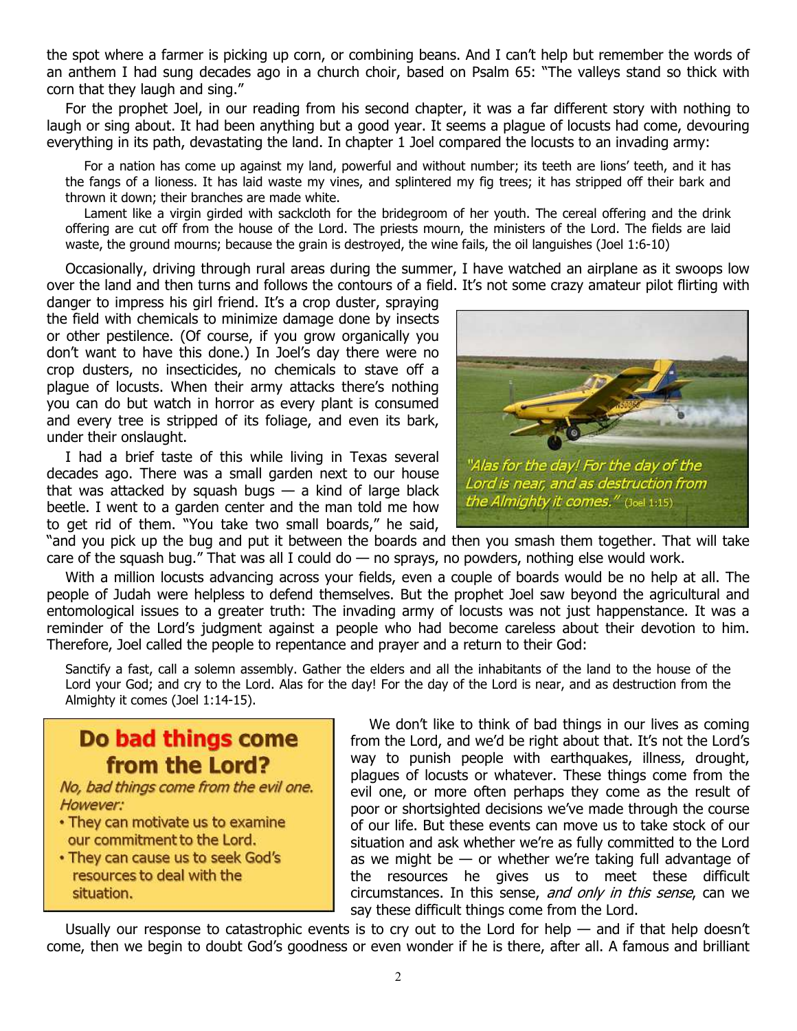the spot where a farmer is picking up corn, or combining beans. And I can't help but remember the words of an anthem I had sung decades ago in a church choir, based on Psalm 65: "The valleys stand so thick with corn that they laugh and sing."

For the prophet Joel, in our reading from his second chapter, it was a far different story with nothing to laugh or sing about. It had been anything but a good year. It seems a plague of locusts had come, devouring everything in its path, devastating the land. In chapter 1 Joel compared the locusts to an invading army:

For a nation has come up against my land, powerful and without number; its teeth are lions' teeth, and it has the fangs of a lioness. It has laid waste my vines, and splintered my fig trees; it has stripped off their bark and thrown it down; their branches are made white.

Lament like a virgin girded with sackcloth for the bridegroom of her youth. The cereal offering and the drink offering are cut off from the house of the Lord. The priests mourn, the ministers of the Lord. The fields are laid waste, the ground mourns; because the grain is destroyed, the wine fails, the oil languishes (Joel 1:6-10)

Occasionally, driving through rural areas during the summer, I have watched an airplane as it swoops low over the land and then turns and follows the contours of a field. It's not some crazy amateur pilot flirting with

danger to impress his girl friend. It's a crop duster, spraying the field with chemicals to minimize damage done by insects or other pestilence. (Of course, if you grow organically you don't want to have this done.) In Joel's day there were no crop dusters, no insecticides, no chemicals to stave off a plague of locusts. When their army attacks there's nothing you can do but watch in horror as every plant is consumed and every tree is stripped of its foliage, and even its bark, under their onslaught.

I had a brief taste of this while living in Texas several decades ago. There was a small garden next to our house that was attacked by squash bugs  $-$  a kind of large black beetle. I went to a garden center and the man told me how to get rid of them. "You take two small boards," he said,



"and you pick up the bug and put it between the boards and then you smash them together. That will take care of the squash bug." That was all I could do  $-$  no sprays, no powders, nothing else would work.

With a million locusts advancing across your fields, even a couple of boards would be no help at all. The people of Judah were helpless to defend themselves. But the prophet Joel saw beyond the agricultural and entomological issues to a greater truth: The invading army of locusts was not just happenstance. It was a reminder of the Lord's judgment against a people who had become careless about their devotion to him. Therefore, Joel called the people to repentance and prayer and a return to their God:

Sanctify a fast, call a solemn assembly. Gather the elders and all the inhabitants of the land to the house of the Lord your God; and cry to the Lord. Alas for the day! For the day of the Lord is near, and as destruction from the Almighty it comes (Joel 1:14-15).

Do bad things come from the Lord?

No, bad things come from the evil one. However:

- They can motivate us to examine our commitment to the Lord.
- . They can cause us to seek God's resources to deal with the situation.

We don't like to think of bad things in our lives as coming from the Lord, and we'd be right about that. It's not the Lord's way to punish people with earthquakes, illness, drought, plagues of locusts or whatever. These things come from the evil one, or more often perhaps they come as the result of poor or shortsighted decisions we've made through the course of our life. But these events can move us to take stock of our situation and ask whether we're as fully committed to the Lord as we might be  $-$  or whether we're taking full advantage of the resources he gives us to meet these difficult circumstances. In this sense, and only in this sense, can we say these difficult things come from the Lord.

Usually our response to catastrophic events is to cry out to the Lord for help  $-$  and if that help doesn't come, then we begin to doubt God's goodness or even wonder if he is there, after all. A famous and brilliant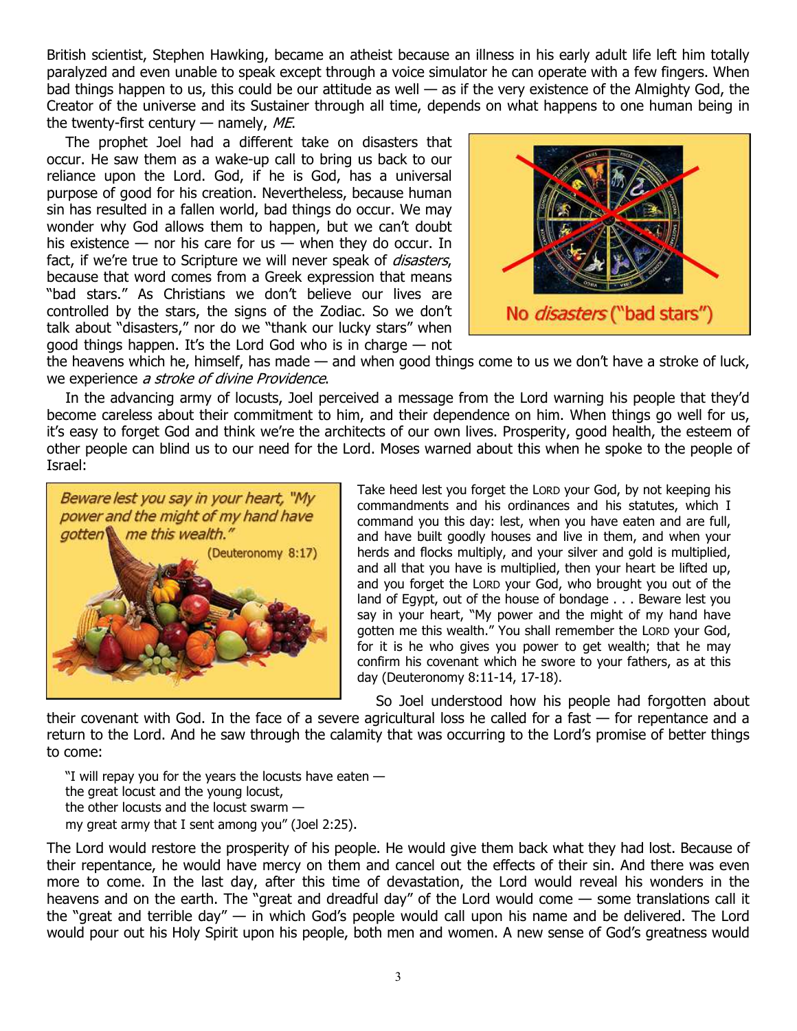British scientist, Stephen Hawking, became an atheist because an illness in his early adult life left him totally paralyzed and even unable to speak except through a voice simulator he can operate with a few fingers. When bad things happen to us, this could be our attitude as well — as if the very existence of the Almighty God, the Creator of the universe and its Sustainer through all time, depends on what happens to one human being in the twenty-first century  $-$  namely, ME.

The prophet Joel had a different take on disasters that occur. He saw them as a wake-up call to bring us back to our reliance upon the Lord. God, if he is God, has a universal purpose of good for his creation. Nevertheless, because human sin has resulted in a fallen world, bad things do occur. We may wonder why God allows them to happen, but we can't doubt his existence  $-$  nor his care for us  $-$  when they do occur. In fact, if we're true to Scripture we will never speak of *disasters*, because that word comes from a Greek expression that means "bad stars." As Christians we don't believe our lives are controlled by the stars, the signs of the Zodiac. So we don't talk about "disasters," nor do we "thank our lucky stars" when good things happen. It's the Lord God who is in charge — not



the heavens which he, himself, has made — and when good things come to us we don't have a stroke of luck, we experience a stroke of divine Providence.

In the advancing army of locusts, Joel perceived a message from the Lord warning his people that they'd become careless about their commitment to him, and their dependence on him. When things go well for us, it's easy to forget God and think we're the architects of our own lives. Prosperity, good health, the esteem of other people can blind us to our need for the Lord. Moses warned about this when he spoke to the people of Israel:



Take heed lest you forget the LORD your God, by not keeping his commandments and his ordinances and his statutes, which I command you this day: lest, when you have eaten and are full, and have built goodly houses and live in them, and when your herds and flocks multiply, and your silver and gold is multiplied, and all that you have is multiplied, then your heart be lifted up, and you forget the LORD your God, who brought you out of the land of Egypt, out of the house of bondage . . . Beware lest you say in your heart, "My power and the might of my hand have gotten me this wealth." You shall remember the LORD your God, for it is he who gives you power to get wealth; that he may confirm his covenant which he swore to your fathers, as at this day (Deuteronomy 8:11-14, 17-18).

So Joel understood how his people had forgotten about their covenant with God. In the face of a severe agricultural loss he called for a fast — for repentance and a return to the Lord. And he saw through the calamity that was occurring to the Lord's promise of better things to come:

"I will repay you for the years the locusts have eaten  $$ the great locust and the young locust, the other locusts and the locust swarm my great army that I sent among you" (Joel 2:25).

The Lord would restore the prosperity of his people. He would give them back what they had lost. Because of their repentance, he would have mercy on them and cancel out the effects of their sin. And there was even more to come. In the last day, after this time of devastation, the Lord would reveal his wonders in the heavens and on the earth. The "great and dreadful day" of the Lord would come — some translations call it the "great and terrible day" — in which God's people would call upon his name and be delivered. The Lord would pour out his Holy Spirit upon his people, both men and women. A new sense of God's greatness would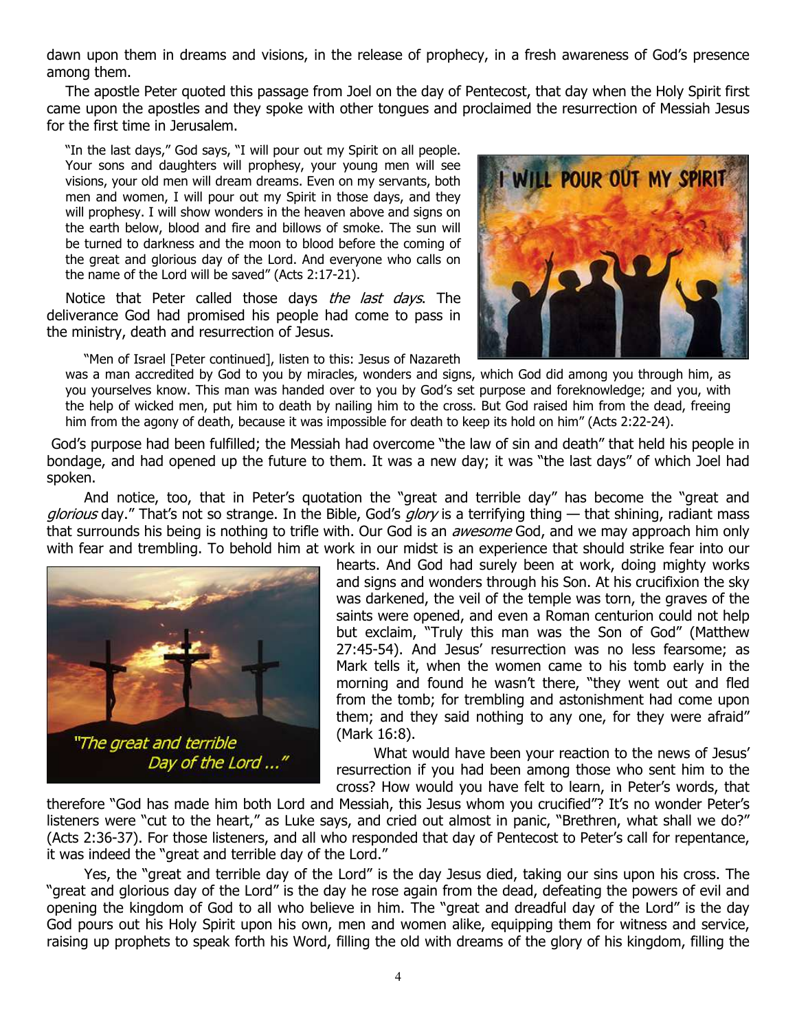dawn upon them in dreams and visions, in the release of prophecy, in a fresh awareness of God's presence among them.

The apostle Peter quoted this passage from Joel on the day of Pentecost, that day when the Holy Spirit first came upon the apostles and they spoke with other tongues and proclaimed the resurrection of Messiah Jesus for the first time in Jerusalem.

"In the last days," God says, "I will pour out my Spirit on all people. Your sons and daughters will prophesy, your young men will see visions, your old men will dream dreams. Even on my servants, both men and women, I will pour out my Spirit in those days, and they will prophesy. I will show wonders in the heaven above and signs on the earth below, blood and fire and billows of smoke. The sun will be turned to darkness and the moon to blood before the coming of the great and glorious day of the Lord. And everyone who calls on the name of the Lord will be saved" (Acts 2:17-21).

Notice that Peter called those days the last days. The deliverance God had promised his people had come to pass in the ministry, death and resurrection of Jesus.

"Men of Israel [Peter continued], listen to this: Jesus of Nazareth

POUR OUT MY SPI

was a man accredited by God to you by miracles, wonders and signs, which God did among you through him, as you yourselves know. This man was handed over to you by God's set purpose and foreknowledge; and you, with the help of wicked men, put him to death by nailing him to the cross. But God raised him from the dead, freeing him from the agony of death, because it was impossible for death to keep its hold on him" (Acts 2:22-24).

 God's purpose had been fulfilled; the Messiah had overcome "the law of sin and death" that held his people in bondage, and had opened up the future to them. It was a new day; it was "the last days" of which Joel had spoken.

 And notice, too, that in Peter's quotation the "great and terrible day" has become the "great and glorious day." That's not so strange. In the Bible, God's glory is a terrifying thing — that shining, radiant mass that surrounds his being is nothing to trifle with. Our God is an *awesome* God, and we may approach him only with fear and trembling. To behold him at work in our midst is an experience that should strike fear into our



hearts. And God had surely been at work, doing mighty works and signs and wonders through his Son. At his crucifixion the sky was darkened, the veil of the temple was torn, the graves of the saints were opened, and even a Roman centurion could not help but exclaim, "Truly this man was the Son of God" (Matthew 27:45-54). And Jesus' resurrection was no less fearsome; as Mark tells it, when the women came to his tomb early in the morning and found he wasn't there, "they went out and fled from the tomb; for trembling and astonishment had come upon them; and they said nothing to any one, for they were afraid" (Mark 16:8).

 What would have been your reaction to the news of Jesus' resurrection if you had been among those who sent him to the cross? How would you have felt to learn, in Peter's words, that

therefore "God has made him both Lord and Messiah, this Jesus whom you crucified"? It's no wonder Peter's listeners were "cut to the heart," as Luke says, and cried out almost in panic, "Brethren, what shall we do?" (Acts 2:36-37). For those listeners, and all who responded that day of Pentecost to Peter's call for repentance, it was indeed the "great and terrible day of the Lord."

 Yes, the "great and terrible day of the Lord" is the day Jesus died, taking our sins upon his cross. The "great and glorious day of the Lord" is the day he rose again from the dead, defeating the powers of evil and opening the kingdom of God to all who believe in him. The "great and dreadful day of the Lord" is the day God pours out his Holy Spirit upon his own, men and women alike, equipping them for witness and service, raising up prophets to speak forth his Word, filling the old with dreams of the glory of his kingdom, filling the